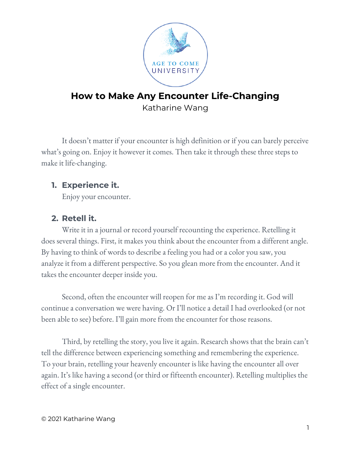

# **How to Make Any Encounter Life-Changing** Katharine Wang

It doesn't matter if your encounter is high definition or if you can barely perceive what's going on. Enjoy it however it comes. Then take it through these three steps to make it life-changing.

## **1. Experience it.**

Enjoy your encounter.

## **2. Retell it.**

Write it in a journal or record yourself recounting the experience. Retelling it does several things. First, it makes you think about the encounter from a different angle. By having to think of words to describe a feeling you had or a color you saw, you analyze it from a different perspective. So you glean more from the encounter. And it takes the encounter deeper inside you.

Second, often the encounter will reopen for me as I'm recording it. God will continue a conversation we were having. Or I'll notice a detail I had overlooked (or not been able to see) before. I'll gain more from the encounter for those reasons.

Third, by retelling the story, you live it again. Research shows that the brain can't tell the difference between experiencing something and remembering the experience. To your brain, retelling your heavenly encounter is like having the encounter all over again. It's like having a second (or third or fifteenth encounter). Retelling multiplies the effect of a single encounter.